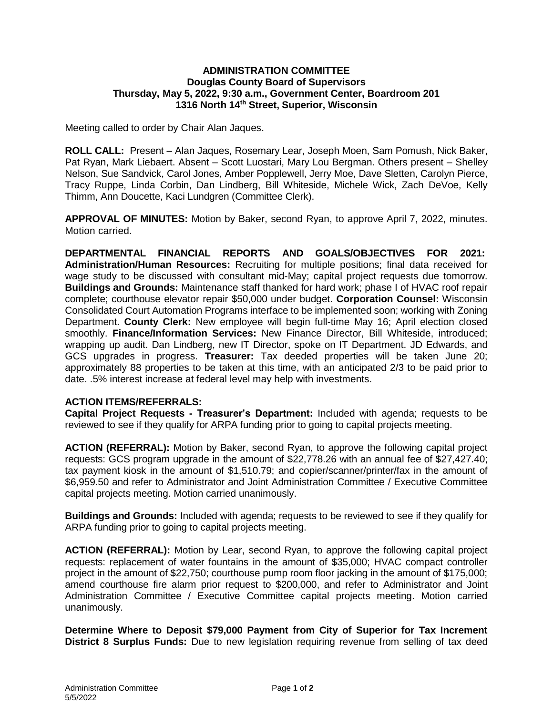## **ADMINISTRATION COMMITTEE Douglas County Board of Supervisors Thursday, May 5, 2022, 9:30 a.m., Government Center, Boardroom 201 1316 North 14th Street, Superior, Wisconsin**

Meeting called to order by Chair Alan Jaques.

**ROLL CALL:** Present – Alan Jaques, Rosemary Lear, Joseph Moen, Sam Pomush, Nick Baker, Pat Ryan, Mark Liebaert. Absent – Scott Luostari, Mary Lou Bergman. Others present – Shelley Nelson, Sue Sandvick, Carol Jones, Amber Popplewell, Jerry Moe, Dave Sletten, Carolyn Pierce, Tracy Ruppe, Linda Corbin, Dan Lindberg, Bill Whiteside, Michele Wick, Zach DeVoe, Kelly Thimm, Ann Doucette, Kaci Lundgren (Committee Clerk).

**APPROVAL OF MINUTES:** Motion by Baker, second Ryan, to approve April 7, 2022, minutes. Motion carried.

**DEPARTMENTAL FINANCIAL REPORTS AND GOALS/OBJECTIVES FOR 2021: Administration/Human Resources:** Recruiting for multiple positions; final data received for wage study to be discussed with consultant mid-May; capital project requests due tomorrow. **Buildings and Grounds:** Maintenance staff thanked for hard work; phase I of HVAC roof repair complete; courthouse elevator repair \$50,000 under budget. **Corporation Counsel:** Wisconsin Consolidated Court Automation Programs interface to be implemented soon; working with Zoning Department. **County Clerk:** New employee will begin full-time May 16; April election closed smoothly. **Finance/Information Services:** New Finance Director, Bill Whiteside, introduced; wrapping up audit. Dan Lindberg, new IT Director, spoke on IT Department. JD Edwards, and GCS upgrades in progress. **Treasurer:** Tax deeded properties will be taken June 20; approximately 88 properties to be taken at this time, with an anticipated 2/3 to be paid prior to date. .5% interest increase at federal level may help with investments.

## **ACTION ITEMS/REFERRALS:**

**Capital Project Requests - Treasurer's Department:** Included with agenda; requests to be reviewed to see if they qualify for ARPA funding prior to going to capital projects meeting.

**ACTION (REFERRAL):** Motion by Baker, second Ryan, to approve the following capital project requests: GCS program upgrade in the amount of \$22,778.26 with an annual fee of \$27,427.40; tax payment kiosk in the amount of \$1,510.79; and copier/scanner/printer/fax in the amount of \$6,959.50 and refer to Administrator and Joint Administration Committee / Executive Committee capital projects meeting. Motion carried unanimously.

**Buildings and Grounds:** Included with agenda; requests to be reviewed to see if they qualify for ARPA funding prior to going to capital projects meeting.

**ACTION (REFERRAL):** Motion by Lear, second Ryan, to approve the following capital project requests: replacement of water fountains in the amount of \$35,000; HVAC compact controller project in the amount of \$22,750; courthouse pump room floor jacking in the amount of \$175,000; amend courthouse fire alarm prior request to \$200,000, and refer to Administrator and Joint Administration Committee / Executive Committee capital projects meeting. Motion carried unanimously.

**Determine Where to Deposit \$79,000 Payment from City of Superior for Tax Increment District 8 Surplus Funds:** Due to new legislation requiring revenue from selling of tax deed